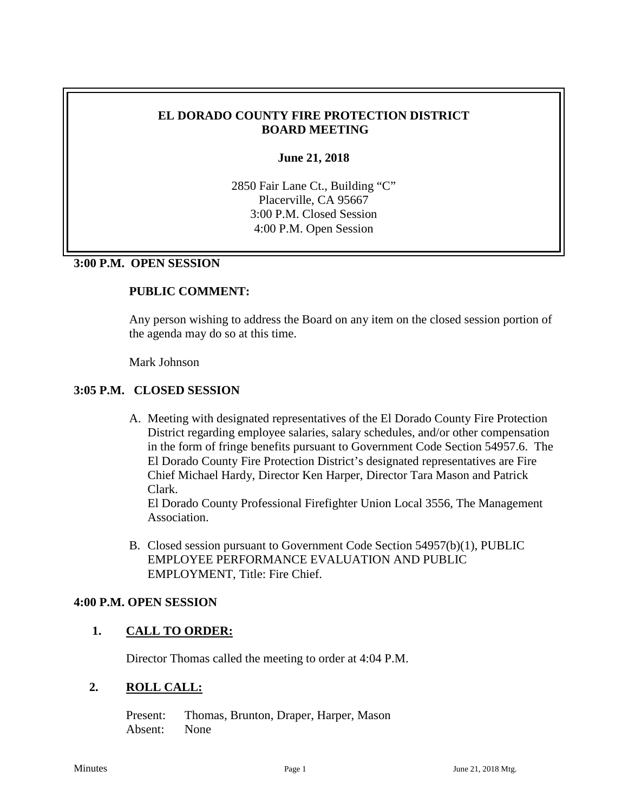#### **EL DORADO COUNTY FIRE PROTECTION DISTRICT BOARD MEETING**

#### **June 21, 2018**

2850 Fair Lane Ct., Building "C" Placerville, CA 95667 3:00 P.M. Closed Session 4:00 P.M. Open Session

#### **3:00 P.M. OPEN SESSION**

#### **PUBLIC COMMENT:**

Any person wishing to address the Board on any item on the closed session portion of the agenda may do so at this time.

Mark Johnson

#### **3:05 P.M. CLOSED SESSION**

A. Meeting with designated representatives of the El Dorado County Fire Protection District regarding employee salaries, salary schedules, and/or other compensation in the form of fringe benefits pursuant to Government Code Section 54957.6. The El Dorado County Fire Protection District's designated representatives are Fire Chief Michael Hardy, Director Ken Harper, Director Tara Mason and Patrick Clark.

El Dorado County Professional Firefighter Union Local 3556, The Management Association.

B. Closed session pursuant to Government Code Section 54957(b)(1), PUBLIC EMPLOYEE PERFORMANCE EVALUATION AND PUBLIC EMPLOYMENT, Title: Fire Chief.

#### **4:00 P.M. OPEN SESSION**

#### **1. CALL TO ORDER:**

Director Thomas called the meeting to order at 4:04 P.M.

#### **2. ROLL CALL:**

Present: Thomas, Brunton, Draper, Harper, Mason Absent: None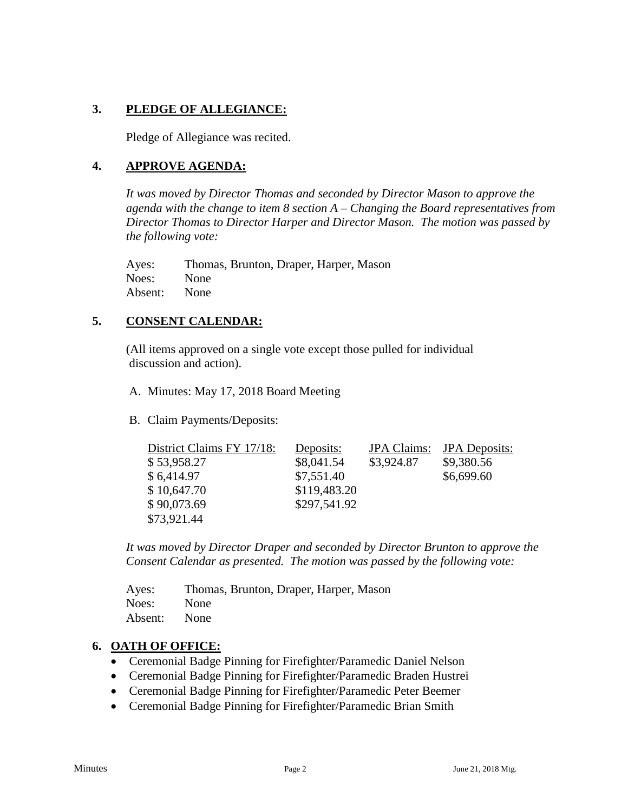# **3. PLEDGE OF ALLEGIANCE:**

Pledge of Allegiance was recited.

### **4. APPROVE AGENDA:**

*It was moved by Director Thomas and seconded by Director Mason to approve the agenda with the change to item 8 section A – Changing the Board representatives from Director Thomas to Director Harper and Director Mason. The motion was passed by the following vote:*

Ayes: Thomas, Brunton, Draper, Harper, Mason Noes: None Absent: None

## **5. CONSENT CALENDAR:**

 (All items approved on a single vote except those pulled for individual discussion and action).

A. Minutes: May 17, 2018 Board Meeting

B. Claim Payments/Deposits:

| District Claims FY 17/18: | Deposits:    | <b>JPA</b> Claims: | <b>JPA</b> Deposits: |
|---------------------------|--------------|--------------------|----------------------|
| \$53,958.27               | \$8,041.54   | \$3,924.87         | \$9,380.56           |
| \$6,414.97                | \$7,551.40   |                    | \$6,699.60           |
| \$10,647.70               | \$119,483.20 |                    |                      |
| \$90,073.69               | \$297,541.92 |                    |                      |
| \$73,921.44               |              |                    |                      |

*It was moved by Director Draper and seconded by Director Brunton to approve the Consent Calendar as presented. The motion was passed by the following vote:*

| Ayes:   | Thomas, Brunton, Draper, Harper, Mason |
|---------|----------------------------------------|
| Noes:   | None                                   |
| Absent: | None                                   |

#### **6. OATH OF OFFICE:**

- Ceremonial Badge Pinning for Firefighter/Paramedic Daniel Nelson
- Ceremonial Badge Pinning for Firefighter/Paramedic Braden Hustrei
- Ceremonial Badge Pinning for Firefighter/Paramedic Peter Beemer
- Ceremonial Badge Pinning for Firefighter/Paramedic Brian Smith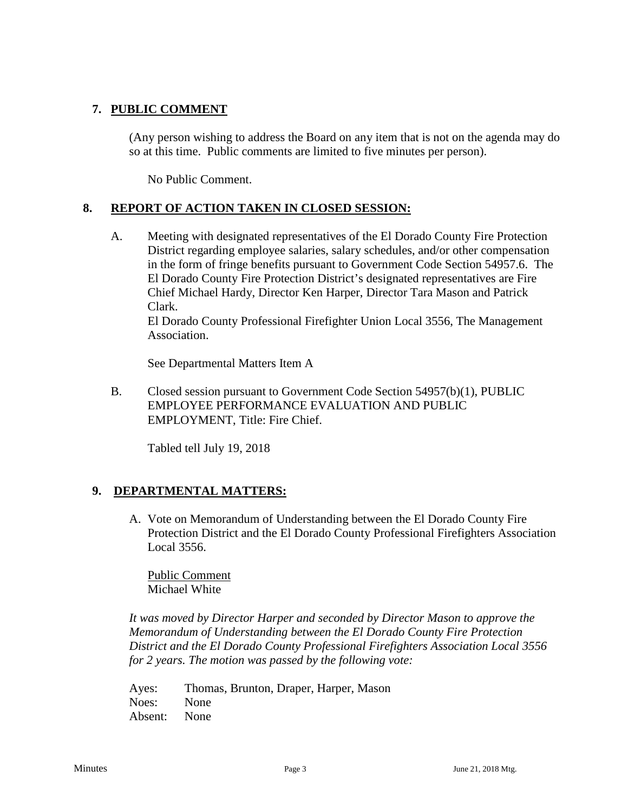## **7. PUBLIC COMMENT**

(Any person wishing to address the Board on any item that is not on the agenda may do so at this time. Public comments are limited to five minutes per person).

No Public Comment.

## **8. REPORT OF ACTION TAKEN IN CLOSED SESSION:**

A. Meeting with designated representatives of the El Dorado County Fire Protection District regarding employee salaries, salary schedules, and/or other compensation in the form of fringe benefits pursuant to Government Code Section 54957.6. The El Dorado County Fire Protection District's designated representatives are Fire Chief Michael Hardy, Director Ken Harper, Director Tara Mason and Patrick Clark.

El Dorado County Professional Firefighter Union Local 3556, The Management Association.

See Departmental Matters Item A

B. Closed session pursuant to Government Code Section 54957(b)(1), PUBLIC EMPLOYEE PERFORMANCE EVALUATION AND PUBLIC EMPLOYMENT, Title: Fire Chief.

Tabled tell July 19, 2018

## **9. DEPARTMENTAL MATTERS:**

A. Vote on Memorandum of Understanding between the El Dorado County Fire Protection District and the El Dorado County Professional Firefighters Association Local 3556.

Public Comment Michael White

*It was moved by Director Harper and seconded by Director Mason to approve the Memorandum of Understanding between the El Dorado County Fire Protection District and the El Dorado County Professional Firefighters Association Local 3556 for 2 years. The motion was passed by the following vote:*

Ayes: Thomas, Brunton, Draper, Harper, Mason Noes: None Absent: None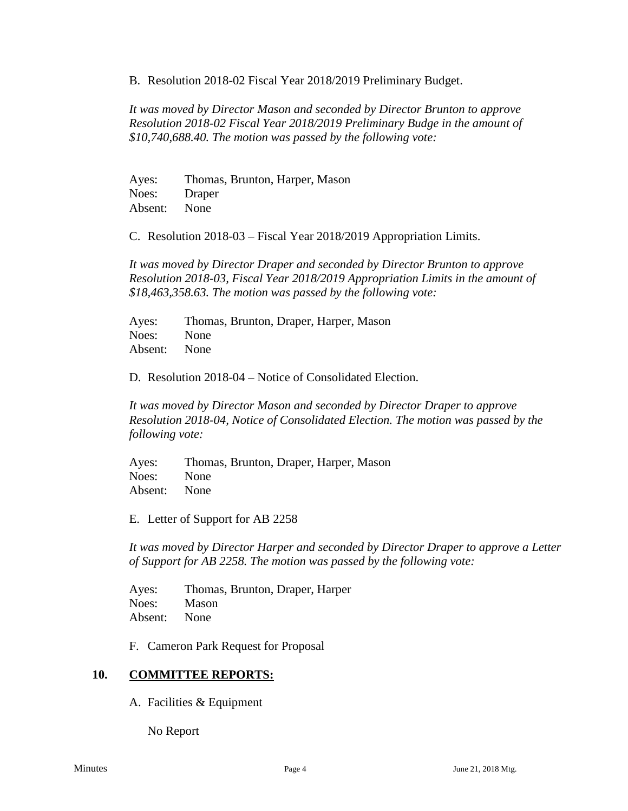B. Resolution 2018-02 Fiscal Year 2018/2019 Preliminary Budget.

*It was moved by Director Mason and seconded by Director Brunton to approve Resolution 2018-02 Fiscal Year 2018/2019 Preliminary Budge in the amount of \$10,740,688.40. The motion was passed by the following vote:*

Ayes: Thomas, Brunton, Harper, Mason Noes: Draper Absent: None

C. Resolution 2018-03 – Fiscal Year 2018/2019 Appropriation Limits.

*It was moved by Director Draper and seconded by Director Brunton to approve Resolution 2018-03, Fiscal Year 2018/2019 Appropriation Limits in the amount of \$18,463,358.63. The motion was passed by the following vote:*

Ayes: Thomas, Brunton, Draper, Harper, Mason Noes: None Absent: None

D. Resolution 2018-04 – Notice of Consolidated Election.

*It was moved by Director Mason and seconded by Director Draper to approve Resolution 2018-04, Notice of Consolidated Election. The motion was passed by the following vote:*

Ayes: Thomas, Brunton, Draper, Harper, Mason Noes: None Absent: None

E. Letter of Support for AB 2258

*It was moved by Director Harper and seconded by Director Draper to approve a Letter of Support for AB 2258. The motion was passed by the following vote:*

Ayes: Thomas, Brunton, Draper, Harper Noes: Mason Absent: None

F. Cameron Park Request for Proposal

#### **10. COMMITTEE REPORTS:**

A. Facilities & Equipment

No Report